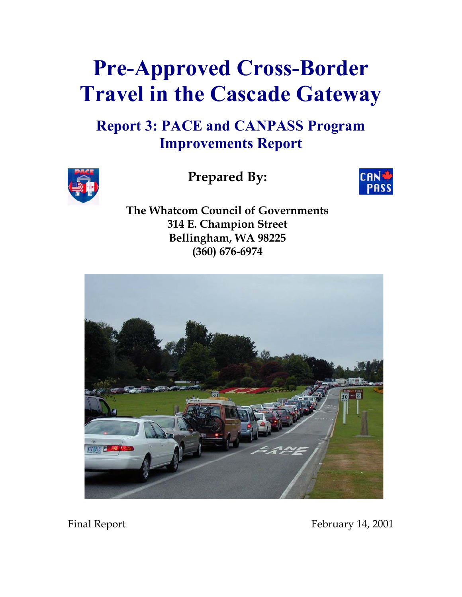# **Pre-Approved Cross-Border Travel in the Cascade Gateway**

# **Report 3: PACE and CANPASS Program Improvements Report**



**Prepared By:** 



**The Whatcom Council of Governments 314 E. Champion Street Bellingham, WA 98225 (360) 676-6974**



Final Report February 14, 2001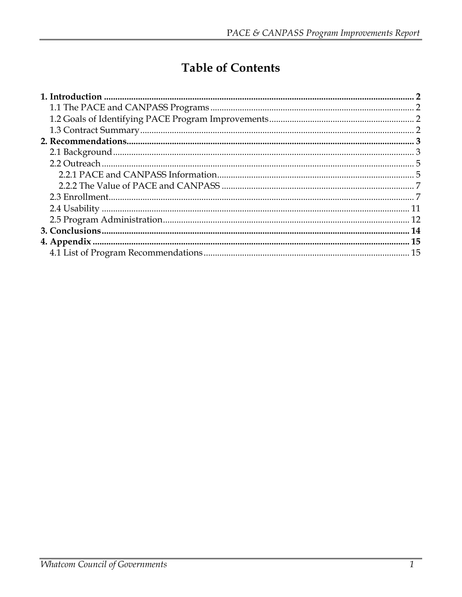# **Table of Contents**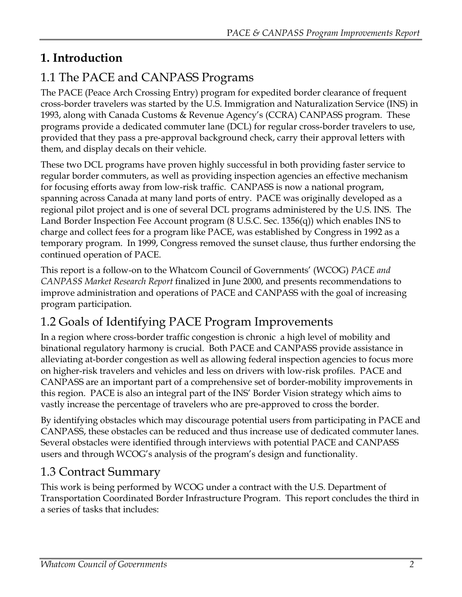# <span id="page-2-0"></span>**1. Introduction**

# 1.1 The PACE and CANPASS Programs

The PACE (Peace Arch Crossing Entry) program for expedited border clearance of frequent cross-border travelers was started by the U.S. Immigration and Naturalization Service (INS) in 1993, along with Canada Customs & Revenue Agency's (CCRA) CANPASS program. These programs provide a dedicated commuter lane (DCL) for regular cross-border travelers to use, provided that they pass a pre-approval background check, carry their approval letters with them, and display decals on their vehicle.

These two DCL programs have proven highly successful in both providing faster service to regular border commuters, as well as providing inspection agencies an effective mechanism for focusing efforts away from low-risk traffic. CANPASS is now a national program, spanning across Canada at many land ports of entry. PACE was originally developed as a regional pilot project and is one of several DCL programs administered by the U.S. INS. The Land Border Inspection Fee Account program (8 U.S.C. Sec. 1356(q)) which enables INS to charge and collect fees for a program like PACE, was established by Congress in 1992 as a temporary program. In 1999, Congress removed the sunset clause, thus further endorsing the continued operation of PACE.

This report is a follow-on to the Whatcom Council of Governments' (WCOG) *PACE and CANPASS Market Research Report* finalized in June 2000, and presents recommendations to improve administration and operations of PACE and CANPASS with the goal of increasing program participation.

# 1.2 Goals of Identifying PACE Program Improvements

In a region where cross-border traffic congestion is chronic a high level of mobility and binational regulatory harmony is crucial. Both PACE and CANPASS provide assistance in alleviating at-border congestion as well as allowing federal inspection agencies to focus more on higher-risk travelers and vehicles and less on drivers with low-risk profiles. PACE and CANPASS are an important part of a comprehensive set of border-mobility improvements in this region. PACE is also an integral part of the INS' Border Vision strategy which aims to vastly increase the percentage of travelers who are pre-approved to cross the border.

By identifying obstacles which may discourage potential users from participating in PACE and CANPASS, these obstacles can be reduced and thus increase use of dedicated commuter lanes. Several obstacles were identified through interviews with potential PACE and CANPASS users and through WCOG's analysis of the program's design and functionality.

# 1.3 Contract Summary

This work is being performed by WCOG under a contract with the U.S. Department of Transportation Coordinated Border Infrastructure Program. This report concludes the third in a series of tasks that includes: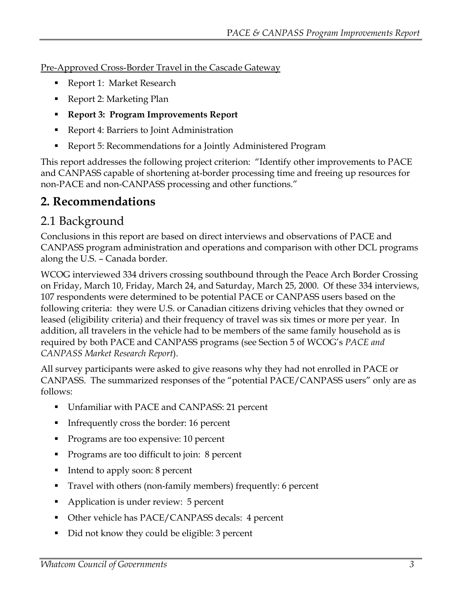<span id="page-3-0"></span>Pre-Approved Cross-Border Travel in the Cascade Gateway

- Report 1: Market Research
- Report 2: Marketing Plan
- **Report 3: Program Improvements Report**
- Report 4: Barriers to Joint Administration
- Report 5: Recommendations for a Jointly Administered Program

This report addresses the following project criterion: "Identify other improvements to PACE and CANPASS capable of shortening at-border processing time and freeing up resources for non-PACE and non-CANPASS processing and other functions."

# **2. Recommendations**

# 2.1 Background

Conclusions in this report are based on direct interviews and observations of PACE and CANPASS program administration and operations and comparison with other DCL programs along the U.S. – Canada border.

WCOG interviewed 334 drivers crossing southbound through the Peace Arch Border Crossing on Friday, March 10, Friday, March 24, and Saturday, March 25, 2000. Of these 334 interviews, 107 respondents were determined to be potential PACE or CANPASS users based on the following criteria: they were U.S. or Canadian citizens driving vehicles that they owned or leased (eligibility criteria) and their frequency of travel was six times or more per year. In addition, all travelers in the vehicle had to be members of the same family household as is required by both PACE and CANPASS programs (see Section 5 of WCOG's *PACE and CANPASS Market Research Report*).

All survey participants were asked to give reasons why they had not enrolled in PACE or CANPASS. The summarized responses of the "potential PACE/CANPASS users" only are as follows:

- Unfamiliar with PACE and CANPASS: 21 percent
- Infrequently cross the border: 16 percent
- **Programs are too expensive: 10 percent**
- Programs are too difficult to join: 8 percent
- Intend to apply soon: 8 percent
- Travel with others (non-family members) frequently: 6 percent
- Application is under review: 5 percent
- Other vehicle has PACE/CANPASS decals: 4 percent
- Did not know they could be eligible: 3 percent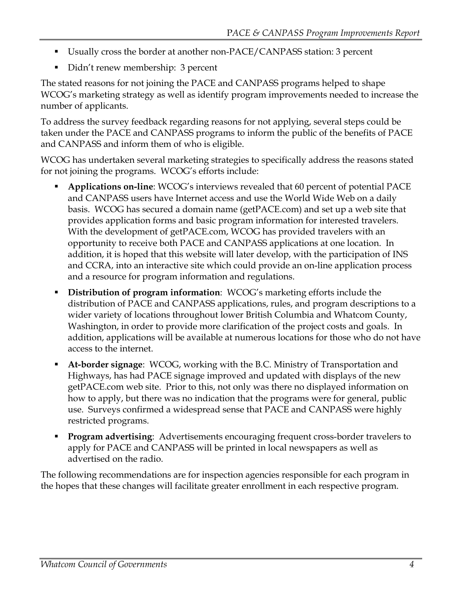- Usually cross the border at another non-PACE/CANPASS station: 3 percent
- Didn't renew membership: 3 percent

The stated reasons for not joining the PACE and CANPASS programs helped to shape WCOG's marketing strategy as well as identify program improvements needed to increase the number of applicants.

To address the survey feedback regarding reasons for not applying, several steps could be taken under the PACE and CANPASS programs to inform the public of the benefits of PACE and CANPASS and inform them of who is eligible.

WCOG has undertaken several marketing strategies to specifically address the reasons stated for not joining the programs. WCOG's efforts include:

- **Applications on-line**: WCOG's interviews revealed that 60 percent of potential PACE and CANPASS users have Internet access and use the World Wide Web on a daily basis. WCOG has secured a domain name (getPACE.com) and set up a web site that provides application forms and basic program information for interested travelers. With the development of getPACE.com, WCOG has provided travelers with an opportunity to receive both PACE and CANPASS applications at one location. In addition, it is hoped that this website will later develop, with the participation of INS and CCRA, into an interactive site which could provide an on-line application process and a resource for program information and regulations.
- **Distribution of program information**: WCOG's marketing efforts include the distribution of PACE and CANPASS applications, rules, and program descriptions to a wider variety of locations throughout lower British Columbia and Whatcom County, Washington, in order to provide more clarification of the project costs and goals. In addition, applications will be available at numerous locations for those who do not have access to the internet.
- **At-border signage**: WCOG, working with the B.C. Ministry of Transportation and Highways, has had PACE signage improved and updated with displays of the new getPACE.com web site. Prior to this, not only was there no displayed information on how to apply, but there was no indication that the programs were for general, public use. Surveys confirmed a widespread sense that PACE and CANPASS were highly restricted programs.
- **Program advertising**: Advertisements encouraging frequent cross-border travelers to apply for PACE and CANPASS will be printed in local newspapers as well as advertised on the radio.

The following recommendations are for inspection agencies responsible for each program in the hopes that these changes will facilitate greater enrollment in each respective program.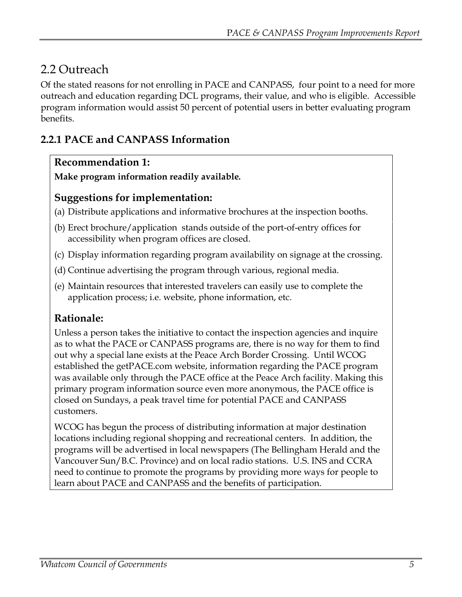# <span id="page-5-0"></span>2.2 Outreach

Of the stated reasons for not enrolling in PACE and CANPASS, four point to a need for more outreach and education regarding DCL programs, their value, and who is eligible. Accessible program information would assist 50 percent of potential users in better evaluating program benefits.

# **2.2.1 PACE and CANPASS Information**

#### **Recommendation 1:**

**Make program information readily available***.* 

#### **Suggestions for implementation:**

- (a) Distribute applications and informative brochures at the inspection booths.
- (b) Erect brochure/application stands outside of the port-of-entry offices for accessibility when program offices are closed.
- (c) Display information regarding program availability on signage at the crossing.
- (d) Continue advertising the program through various, regional media.
- (e) Maintain resources that interested travelers can easily use to complete the application process; i.e. website, phone information, etc.

## **Rationale:**

Unless a person takes the initiative to contact the inspection agencies and inquire as to what the PACE or CANPASS programs are, there is no way for them to find out why a special lane exists at the Peace Arch Border Crossing. Until WCOG established the getPACE.com website, information regarding the PACE program was available only through the PACE office at the Peace Arch facility. Making this primary program information source even more anonymous, the PACE office is closed on Sundays, a peak travel time for potential PACE and CANPASS customers.

WCOG has begun the process of distributing information at major destination locations including regional shopping and recreational centers. In addition, the programs will be advertised in local newspapers (The Bellingham Herald and the Vancouver Sun/B.C. Province) and on local radio stations. U.S. INS and CCRA need to continue to promote the programs by providing more ways for people to learn about PACE and CANPASS and the benefits of participation.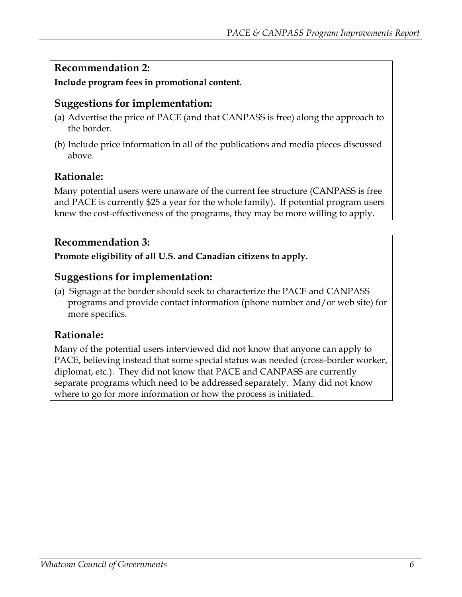## **Recommendation 2:**

**Include program fees in promotional content***.* 

#### **Suggestions for implementation:**

- (a) Advertise the price of PACE (and that CANPASS is free) along the approach to the border.
- (b) Include price information in all of the publications and media pieces discussed above.

#### **Rationale:**

Many potential users were unaware of the current fee structure (CANPASS is free and PACE is currently \$25 a year for the whole family). If potential program users knew the cost-effectiveness of the programs, they may be more willing to apply.

## **Recommendation 3:**

**Promote eligibility of all U.S. and Canadian citizens to apply.**

## **Suggestions for implementation:**

(a) Signage at the border should seek to characterize the PACE and CANPASS programs and provide contact information (phone number and/or web site) for more specifics.

## **Rationale:**

Many of the potential users interviewed did not know that anyone can apply to PACE, believing instead that some special status was needed (cross-border worker, diplomat, etc.). They did not know that PACE and CANPASS are currently separate programs which need to be addressed separately. Many did not know where to go for more information or how the process is initiated.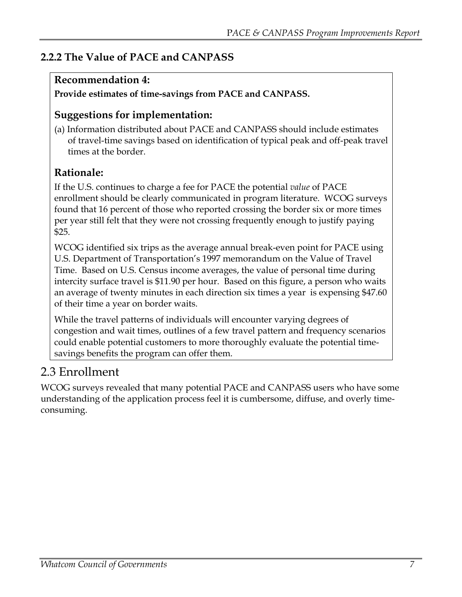# <span id="page-7-0"></span>**2.2.2 The Value of PACE and CANPASS**

## **Recommendation 4:**

#### **Provide estimates of time-savings from PACE and CANPASS.**

## **Suggestions for implementation:**

(a) Information distributed about PACE and CANPASS should include estimates of travel-time savings based on identification of typical peak and off-peak travel times at the border.

# **Rationale:**

If the U.S. continues to charge a fee for PACE the potential *value* of PACE enrollment should be clearly communicated in program literature. WCOG surveys found that 16 percent of those who reported crossing the border six or more times per year still felt that they were not crossing frequently enough to justify paying \$25.

WCOG identified six trips as the average annual break-even point for PACE using U.S. Department of Transportation's 1997 memorandum on the Value of Travel Time. Based on U.S. Census income averages, the value of personal time during intercity surface travel is \$11.90 per hour. Based on this figure, a person who waits an average of twenty minutes in each direction six times a year is expensing \$47.60 of their time a year on border waits.

While the travel patterns of individuals will encounter varying degrees of congestion and wait times, outlines of a few travel pattern and frequency scenarios could enable potential customers to more thoroughly evaluate the potential timesavings benefits the program can offer them.

# 2.3 Enrollment

WCOG surveys revealed that many potential PACE and CANPASS users who have some understanding of the application process feel it is cumbersome, diffuse, and overly timeconsuming.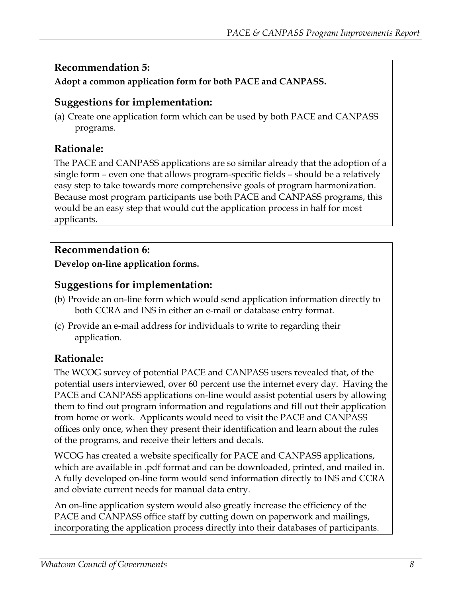#### **Recommendation 5:**

#### **Adopt a common application form for both PACE and CANPASS.**

#### **Suggestions for implementation:**

(a) Create one application form which can be used by both PACE and CANPASS programs.

# **Rationale:**

The PACE and CANPASS applications are so similar already that the adoption of a single form – even one that allows program-specific fields – should be a relatively easy step to take towards more comprehensive goals of program harmonization. Because most program participants use both PACE and CANPASS programs, this would be an easy step that would cut the application process in half for most applicants.

#### **Recommendation 6:**

**Develop on-line application forms.**

## **Suggestions for implementation:**

- (b) Provide an on-line form which would send application information directly to both CCRA and INS in either an e-mail or database entry format.
- (c) Provide an e-mail address for individuals to write to regarding their application.

# **Rationale:**

The WCOG survey of potential PACE and CANPASS users revealed that, of the potential users interviewed, over 60 percent use the internet every day. Having the PACE and CANPASS applications on-line would assist potential users by allowing them to find out program information and regulations and fill out their application from home or work. Applicants would need to visit the PACE and CANPASS offices only once, when they present their identification and learn about the rules of the programs, and receive their letters and decals.

WCOG has created a website specifically for PACE and CANPASS applications, which are available in .pdf format and can be downloaded, printed, and mailed in. A fully developed on-line form would send information directly to INS and CCRA and obviate current needs for manual data entry.

An on-line application system would also greatly increase the efficiency of the PACE and CANPASS office staff by cutting down on paperwork and mailings, incorporating the application process directly into their databases of participants.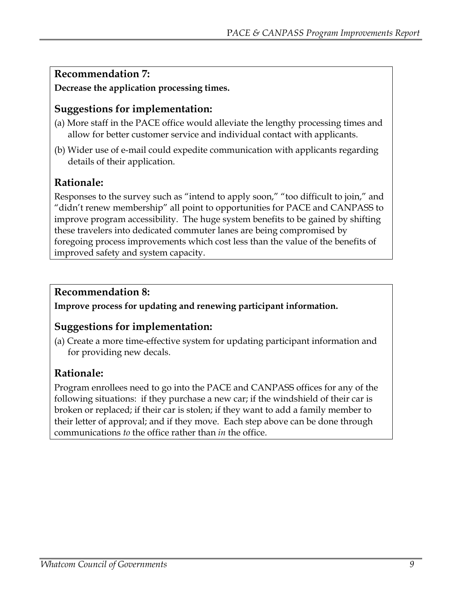## **Recommendation 7:**

**Decrease the application processing times.**

# **Suggestions for implementation:**

- (a) More staff in the PACE office would alleviate the lengthy processing times and allow for better customer service and individual contact with applicants.
- (b) Wider use of e-mail could expedite communication with applicants regarding details of their application.

# **Rationale:**

Responses to the survey such as "intend to apply soon," "too difficult to join," and "didn't renew membership" all point to opportunities for PACE and CANPASS to improve program accessibility. The huge system benefits to be gained by shifting these travelers into dedicated commuter lanes are being compromised by foregoing process improvements which cost less than the value of the benefits of improved safety and system capacity.

# **Recommendation 8:**

**Improve process for updating and renewing participant information.**

# **Suggestions for implementation:**

(a) Create a more time-effective system for updating participant information and for providing new decals.

# **Rationale:**

Program enrollees need to go into the PACE and CANPASS offices for any of the following situations: if they purchase a new car; if the windshield of their car is broken or replaced; if their car is stolen; if they want to add a family member to their letter of approval; and if they move. Each step above can be done through communications *to* the office rather than *in* the office.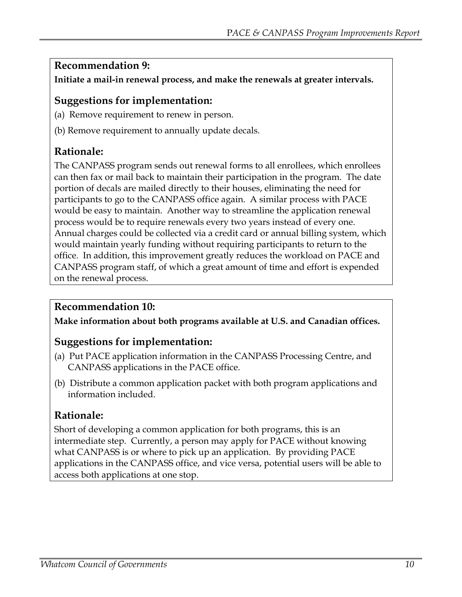## **Recommendation 9:**

**Initiate a mail-in renewal process, and make the renewals at greater intervals.** 

#### **Suggestions for implementation:**

- (a) Remove requirement to renew in person.
- (b) Remove requirement to annually update decals.

#### **Rationale:**

The CANPASS program sends out renewal forms to all enrollees, which enrollees can then fax or mail back to maintain their participation in the program. The date portion of decals are mailed directly to their houses, eliminating the need for participants to go to the CANPASS office again. A similar process with PACE would be easy to maintain. Another way to streamline the application renewal process would be to require renewals every two years instead of every one. Annual charges could be collected via a credit card or annual billing system, which would maintain yearly funding without requiring participants to return to the office. In addition, this improvement greatly reduces the workload on PACE and CANPASS program staff, of which a great amount of time and effort is expended on the renewal process.

#### **Recommendation 10:**

**Make information about both programs available at U.S. and Canadian offices.**

## **Suggestions for implementation:**

- (a) Put PACE application information in the CANPASS Processing Centre, and CANPASS applications in the PACE office.
- (b) Distribute a common application packet with both program applications and information included.

## **Rationale:**

Short of developing a common application for both programs, this is an intermediate step. Currently, a person may apply for PACE without knowing what CANPASS is or where to pick up an application. By providing PACE applications in the CANPASS office, and vice versa, potential users will be able to access both applications at one stop.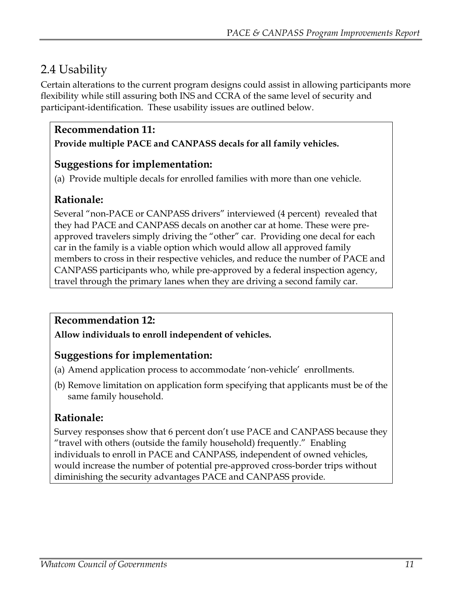# <span id="page-11-0"></span>2.4 Usability

Certain alterations to the current program designs could assist in allowing participants more flexibility while still assuring both INS and CCRA of the same level of security and participant-identification. These usability issues are outlined below.

#### **Recommendation 11:**

**Provide multiple PACE and CANPASS decals for all family vehicles.**

#### **Suggestions for implementation:**

(a) Provide multiple decals for enrolled families with more than one vehicle.

## **Rationale:**

Several "non-PACE or CANPASS drivers" interviewed (4 percent) revealed that they had PACE and CANPASS decals on another car at home. These were preapproved travelers simply driving the "other" car. Providing one decal for each car in the family is a viable option which would allow all approved family members to cross in their respective vehicles, and reduce the number of PACE and CANPASS participants who, while pre-approved by a federal inspection agency, travel through the primary lanes when they are driving a second family car.

## **Recommendation 12:**

**Allow individuals to enroll independent of vehicles.**

## **Suggestions for implementation:**

- (a) Amend application process to accommodate 'non-vehicle' enrollments.
- (b) Remove limitation on application form specifying that applicants must be of the same family household.

## **Rationale:**

Survey responses show that 6 percent don't use PACE and CANPASS because they "travel with others (outside the family household) frequently." Enabling individuals to enroll in PACE and CANPASS, independent of owned vehicles, would increase the number of potential pre-approved cross-border trips without diminishing the security advantages PACE and CANPASS provide.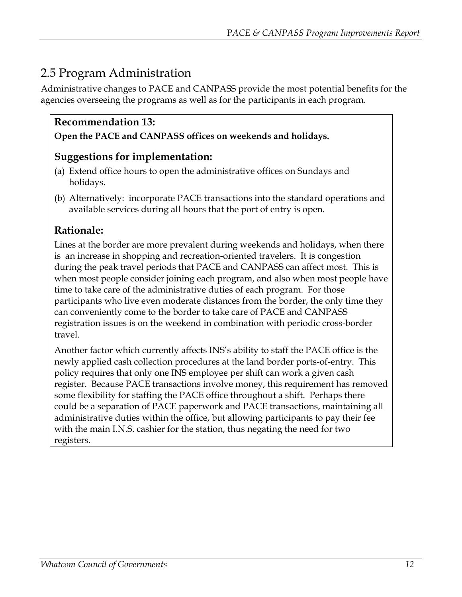# <span id="page-12-0"></span>2.5 Program Administration

Administrative changes to PACE and CANPASS provide the most potential benefits for the agencies overseeing the programs as well as for the participants in each program.

# **Recommendation 13:**

#### **Open the PACE and CANPASS offices on weekends and holidays.**

# **Suggestions for implementation:**

- (a) Extend office hours to open the administrative offices on Sundays and holidays.
- (b) Alternatively: incorporate PACE transactions into the standard operations and available services during all hours that the port of entry is open.

# **Rationale:**

Lines at the border are more prevalent during weekends and holidays, when there is an increase in shopping and recreation-oriented travelers. It is congestion during the peak travel periods that PACE and CANPASS can affect most. This is when most people consider joining each program, and also when most people have time to take care of the administrative duties of each program. For those participants who live even moderate distances from the border, the only time they can conveniently come to the border to take care of PACE and CANPASS registration issues is on the weekend in combination with periodic cross-border travel.

Another factor which currently affects INS's ability to staff the PACE office is the newly applied cash collection procedures at the land border ports-of-entry. This policy requires that only one INS employee per shift can work a given cash register. Because PACE transactions involve money, this requirement has removed some flexibility for staffing the PACE office throughout a shift. Perhaps there could be a separation of PACE paperwork and PACE transactions, maintaining all administrative duties within the office, but allowing participants to pay their fee with the main I.N.S. cashier for the station, thus negating the need for two registers.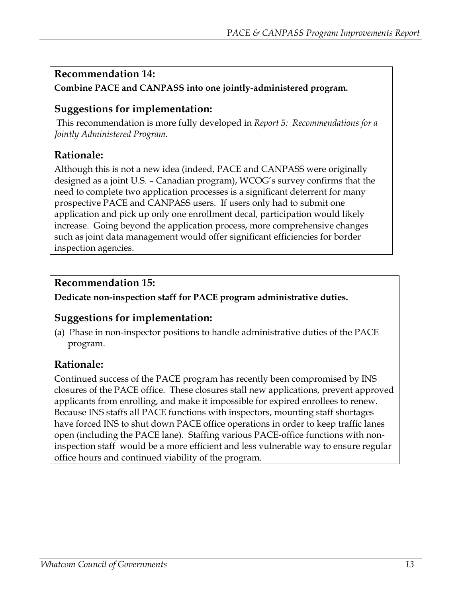## **Recommendation 14:**

**Combine PACE and CANPASS into one jointly-administered program.**

# **Suggestions for implementation:**

 This recommendation is more fully developed in *Report 5: Recommendations for a Jointly Administered Program.* 

# **Rationale:**

Although this is not a new idea (indeed, PACE and CANPASS were originally designed as a joint U.S. – Canadian program), WCOG's survey confirms that the need to complete two application processes is a significant deterrent for many prospective PACE and CANPASS users. If users only had to submit one application and pick up only one enrollment decal, participation would likely increase. Going beyond the application process, more comprehensive changes such as joint data management would offer significant efficiencies for border inspection agencies.

# **Recommendation 15:**

**Dedicate non-inspection staff for PACE program administrative duties.**

# **Suggestions for implementation:**

(a) Phase in non-inspector positions to handle administrative duties of the PACE program.

# **Rationale:**

Continued success of the PACE program has recently been compromised by INS closures of the PACE office. These closures stall new applications, prevent approved applicants from enrolling, and make it impossible for expired enrollees to renew. Because INS staffs all PACE functions with inspectors, mounting staff shortages have forced INS to shut down PACE office operations in order to keep traffic lanes open (including the PACE lane). Staffing various PACE-office functions with noninspection staff would be a more efficient and less vulnerable way to ensure regular office hours and continued viability of the program.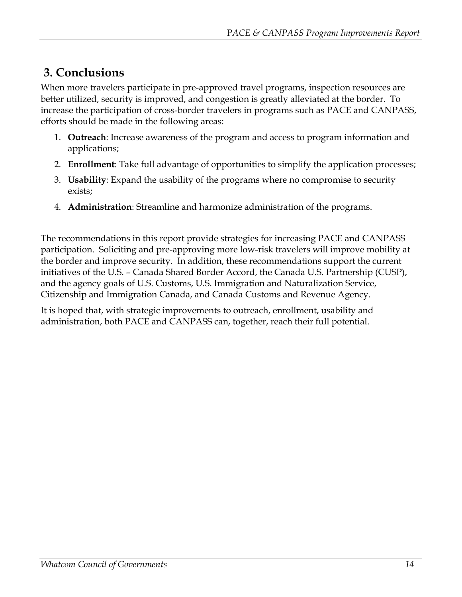# <span id="page-14-0"></span> **3. Conclusions**

When more travelers participate in pre-approved travel programs, inspection resources are better utilized, security is improved, and congestion is greatly alleviated at the border. To increase the participation of cross-border travelers in programs such as PACE and CANPASS, efforts should be made in the following areas:

- 1. **Outreach**: Increase awareness of the program and access to program information and applications;
- 2. **Enrollment**: Take full advantage of opportunities to simplify the application processes;
- 3. **Usability**: Expand the usability of the programs where no compromise to security exists;
- 4. **Administration**: Streamline and harmonize administration of the programs.

The recommendations in this report provide strategies for increasing PACE and CANPASS participation. Soliciting and pre-approving more low-risk travelers will improve mobility at the border and improve security. In addition, these recommendations support the current initiatives of the U.S. – Canada Shared Border Accord, the Canada U.S. Partnership (CUSP), and the agency goals of U.S. Customs, U.S. Immigration and Naturalization Service, Citizenship and Immigration Canada, and Canada Customs and Revenue Agency.

It is hoped that, with strategic improvements to outreach, enrollment, usability and administration, both PACE and CANPASS can, together, reach their full potential.